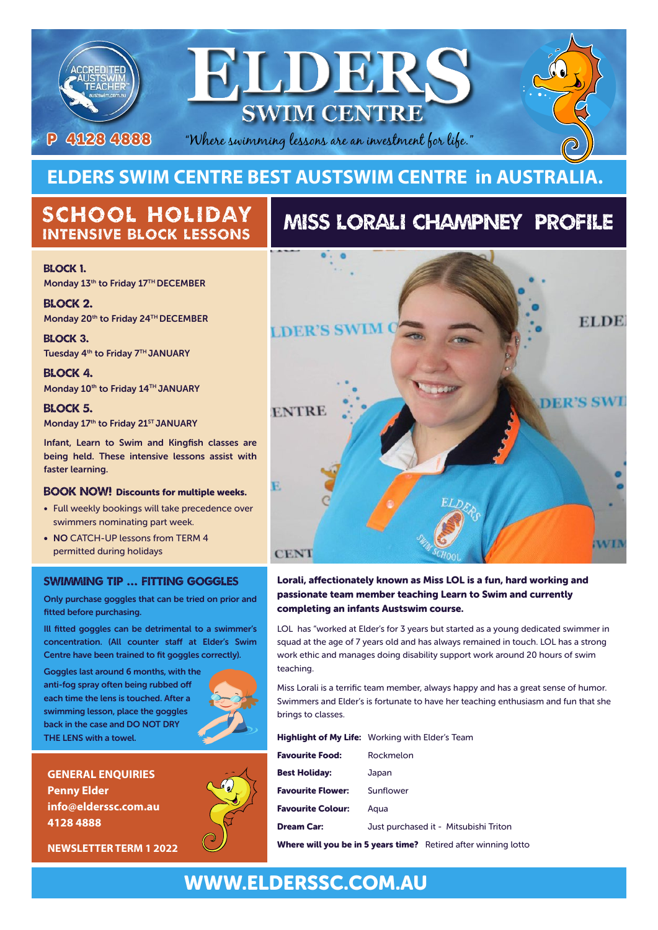

# **ELDERS SWIM CENTRE BEST AUSTSWIM CENTRE in AUSTRALIA.**

# SCHOOL HOLIDAY INTENSIVE BLOCK LESSONS

#### BLOCK 1.

Monday 13<sup>th</sup> to Friday 17<sup>TH</sup> DECEMBER

BLOCK 2. Monday 20<sup>th</sup> to Friday 24<sup>TH</sup> DECEMBER

BLOCK 3. Tuesday 4<sup>th</sup> to Friday 7<sup>TH</sup> JANUARY

BLOCK 4. Monday 10th to Friday 14TH JANUARY

BLOCK 5. Monday 17th to Friday 21<sup>ST</sup> JANUARY

Infant, Learn to Swim and Kingfish classes are being held. These intensive lessons assist with faster learning.

### BOOK NOW! Discounts for multiple weeks.

- Full weekly bookings will take precedence over swimmers nominating part week.
- NO CATCH-UP lessons from TERM 4 permitted during holidays

### SWIMMING TIP ... FITTING GOGGLES

Only purchase goggles that can be tried on prior and fitted before purchasing.

Ill fitted goggles can be detrimental to a swimmer's concentration. (All counter staff at Elder's Swim Centre have been trained to fit goggles correctly).

Goggles last around 6 months, with the anti-fog spray often being rubbed off each time the lens is touched. After a swimming lesson, place the goggles back in the case and DO NOT DRY THE LENS with a towel.



**GENERAL ENQUIRIES Penny Elder info@elderssc.com.au 4128 4888**



**NEWSLETTER TERM 1 2022**

# MISS LORALI CHAMPNEY PROFILE



#### Lorali, affectionately known as Miss LOL is a fun, hard working and passionate team member teaching Learn to Swim and currently completing an infants Austswim course.

LOL has "worked at Elder's for 3 years but started as a young dedicated swimmer in squad at the age of 7 years old and has always remained in touch. LOL has a strong work ethic and manages doing disability support work around 20 hours of swim teaching.

Miss Lorali is a terrific team member, always happy and has a great sense of humor. Swimmers and Elder's is fortunate to have her teaching enthusiasm and fun that she brings to classes.

Highlight of My Life: Working with Elder's Team

| <b>Favourite Food:</b>   | Rockmelon                             |
|--------------------------|---------------------------------------|
| <b>Best Holiday:</b>     | Japan                                 |
| <b>Favourite Flower:</b> | Sunflower                             |
| <b>Favourite Colour:</b> | Aaua                                  |
| <b>Dream Car:</b>        | Just purchased it - Mitsubishi Triton |
|                          |                                       |

Where will you be in 5 years time? Retired after winning lotto

# WWW.ELDERSSC.COM.AU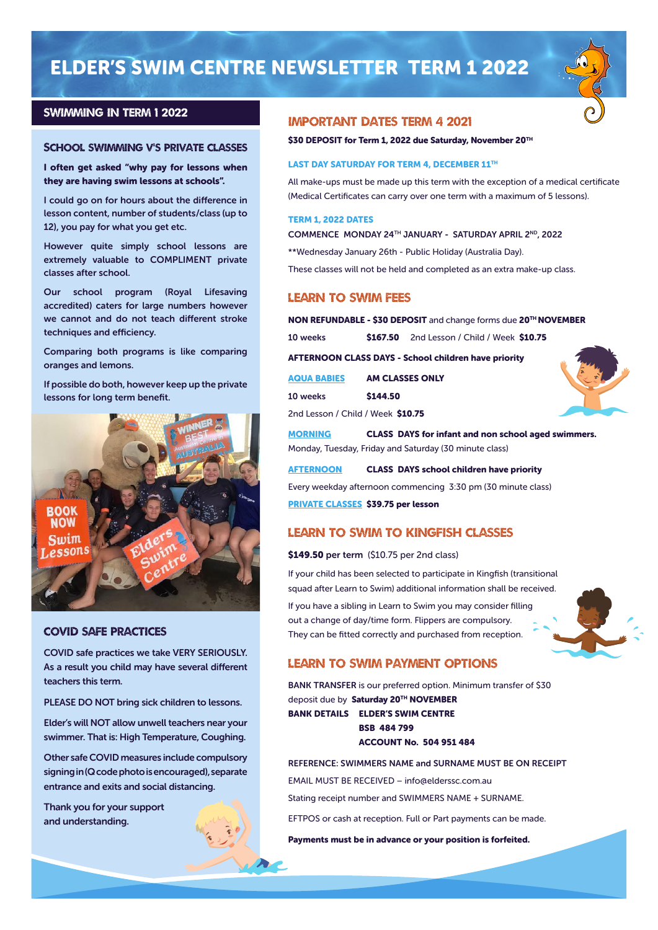# ELDER'S SWIM CENTRE NEWSLETTER TERM 1 2022



#### School swimming v's private classes

I often get asked "why pay for lessons when they are having swim lessons at schools".

I could go on for hours about the difference in lesson content, number of students/class (up to 12), you pay for what you get etc.

However quite simply school lessons are extremely valuable to COMPLIMENT private classes after school.

Our school program (Royal Lifesaving accredited) caters for large numbers however we cannot and do not teach different stroke techniques and efficiency.

Comparing both programs is like comparing oranges and lemons.

If possible do both, however keep up the private lessons for long term benefit.



#### COVID SAFE PRACTICES

COVID safe practices we take VERY SERIOUSLY. As a result you child may have several different teachers this term.

PLEASE DO NOT bring sick children to lessons.

Elder's will NOT allow unwell teachers near your swimmer. That is: High Temperature, Coughing.

Other safe COVID measures include compulsory signing in (Q code photo is encouraged), separate entrance and exits and social distancing.

Thank you for your support and understanding.

#### IMPORTANT DATES TERM 4 2021

\$30 DEPOSIT for Term 1, 2022 due Saturday, November 20TH

#### LAST DAY SATURDAY FOR TERM 4, DECEMBER 11TH

All make-ups must be made up this term with the exception of a medical certificate (Medical Certificates can carry over one term with a maximum of 5 lessons).

#### TERM 1, 2022 DATES

COMMENCE MONDAY 24TH JANUARY - SATURDAY APRIL 2ND, 2022 \*\*Wednesday January 26th - Public Holiday (Australia Day).

These classes will not be held and completed as an extra make-up class.

#### LEARN TO SWIM FEES

#### NON REFUNDABLE - \$30 DEPOSIT and change forms due 20TH NOVEMBER

10 weeks \$167.50 2nd Lesson / Child / Week \$10.75 AFTERNOON CLASS DAYS - School children have priority AQUA BABIES AM CLASSES ONLY 10 weeks \$144.50 2nd Lesson / Child / Week \$10.75

MORNING CLASS DAYS for infant and non school aged swimmers. Monday, Tuesday, Friday and Saturday (30 minute class)

AFTERNOON CLASS DAYS school children have priority Every weekday afternoon commencing 3:30 pm (30 minute class)

PRIVATE CLASSES \$39.75 per lesson

### LEARN TO SWIM to KINGFISH CLASSES

#### \$149.50 per term (\$10.75 per 2nd class)

If your child has been selected to participate in Kingfish (transitional squad after Learn to Swim) additional information shall be received.

If you have a sibling in Learn to Swim you may consider filling out a change of day/time form. Flippers are compulsory. They can be fitted correctly and purchased from reception.



#### LEARN TO SWIM PAYMENT OPTIONS

BANK TRANSFER is our preferred option. Minimum transfer of \$30 deposit due by Saturday 20TH NOVEMBER BANK DETAILS ELDER'S SWIM CENTRE BSB 484 799 ACCOUNT No. 504 951 484

REFERENCE: SWIMMERS NAME and SURNAME MUST BE ON RECEIPT EMAIL MUST BE RECEIVED – info@elderssc.com.au Stating receipt number and SWIMMERS NAME + SURNAME. EFTPOS or cash at reception. Full or Part payments can be made.

Payments must be in advance or your position is forfeited.

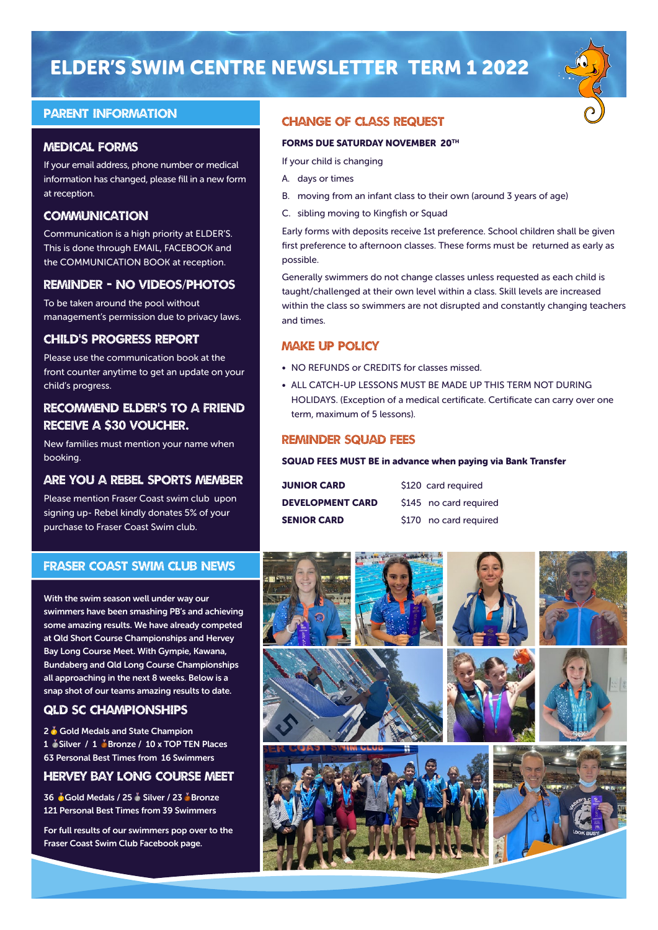# ELDER'S SWIM CENTRE NEWSLETTER TERM 1 2022

### PARENT information

#### MEDICAL Forms

If your email address, phone number or medical information has changed, please fill in a new form at reception.

## **COMMUNICATION**

Communication is a high priority at ELDER'S. This is done through EMAIL, FACEBOOK and the COMMUNICATION BOOK at reception.

### REMINDER - NO VIDEOS/PHOTOS

To be taken around the pool without management's permission due to privacy laws.

### CHILD'S PROGRESS REPORT

Please use the communication book at the front counter anytime to get an update on your child's progress.

# RECOMMEND ELDER'S TO A FRIEND RECEIVE A \$30 VOUCHER.

New families must mention your name when booking.

### ARE YOU A REBEL SPORTS MEMBER

Please mention Fraser Coast swim club upon signing up- Rebel kindly donates 5% of your purchase to Fraser Coast Swim club.

### CHANGE OF CLASS REQUEST

#### FORMS DUE SATURDAY NOVEMBER 20TH

If your child is changing

- A. days or times
- B. moving from an infant class to their own (around 3 years of age)
- C. sibling moving to Kingfish or Squad

Early forms with deposits receive 1st preference. School children shall be given first preference to afternoon classes. These forms must be returned as early as possible.

Generally swimmers do not change classes unless requested as each child is taught/challenged at their own level within a class. Skill levels are increased within the class so swimmers are not disrupted and constantly changing teachers and times.

### MAKE UP POLICY

- NO REFUNDS or CREDITS for classes missed.
- ALL CATCH-UP LESSONS MUST BE MADE UP THIS TERM NOT DURING HOLIDAYS. (Exception of a medical certificate. Certificate can carry over one term, maximum of 5 lessons).

#### REMINDER SQUAD FEES

#### SQUAD FEES MUST BE in advance when paying via Bank Transfer

| <b>JUNIOR CARD</b>      | \$120 card required    |
|-------------------------|------------------------|
| <b>DEVELOPMENT CARD</b> | \$145 no card required |
| <b>SENIOR CARD</b>      | \$170 no card required |



With the swim season well under way our swimmers have been smashing PB's and achieving some amazing results. We have already competed at Qld Short Course Championships and Hervey Bay Long Course Meet. With Gympie, Kawana, Bundaberg and Qld Long Course Championships all approaching in the next 8 weeks. Below is a snap shot of our teams amazing results to date.

### QLD SC CHAMPIONSHIPS

2 6 Gold Medals and State Champion 1 Silver / 1 Stronze / 10 x TOP TEN Places 63 Personal Best Times from 16 Swimmers

### Hervey Bay LONG COURSE MEET

36 Gold Medals / 25 & Silver / 23 & Bronze 121 Personal Best Times from 39 Swimmers

For full results of our swimmers pop over to the Fraser Coast Swim Club Facebook page.